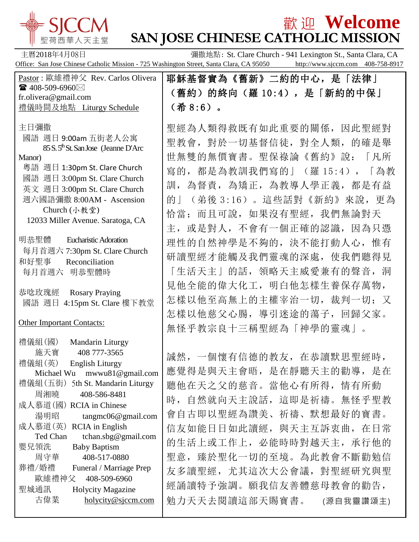

## $\frac{1}{2}$   $\frac{1}{2}$   $\frac{1}{2}$   $\frac{1}{2}$   $\frac{1}{2}$   $\frac{1}{2}$   $\frac{1}{2}$   $\frac{1}{2}$   $\frac{1}{2}$   $\frac{1}{2}$   $\frac{1}{2}$   $\frac{1}{2}$   $\frac{1}{2}$   $\frac{1}{2}$   $\frac{1}{2}$   $\frac{1}{2}$   $\frac{1}{2}$   $\frac{1}{2}$   $\frac{1}{2}$   $\frac{1}{2}$   $\frac{1}{2}$   $\frac{1}{2}$ **SAN JOSE CHINESE CATHOLIC MISSION**

主曆2018年4月08日 **The Communist St. Clare Church - 941 Lexington St., Santa Clara, CA** Office: San Jose Chinese Catholic Mission - 725 Washington Street, Santa Clara, CA 95050 http://www.sjccm.com 408-758-8917

| Pastor: 歐維禮神父 Rev. Carlos Olivera                                      | 耶穌基督實為《舊新》二約的中心,是「法律」           |
|------------------------------------------------------------------------|---------------------------------|
| ☎ 408-509-6960 $\boxtimes$<br>fr.olivera@gmail.com                     | (舊約)的終向(羅 10:4),是「新約的中保」        |
| 禮儀時間及地點 Liturgy Schedule                                               | $($ 希 8:6)。                     |
|                                                                        |                                 |
| 主日彌撒                                                                   | 聖經為人類得救既有如此重要的關係, 因此聖經對         |
| 國語 週日 9:00am 五街老人公寓<br>85 S.5 <sup>th</sup> St. San Jose (Jeanne D'Arc | 聖教會, 對於一切基督信徒, 對全人類, 的確是舉       |
| Manor)                                                                 | 世無雙的無價寶書。聖保祿論《舊約》說:<br>「凡所      |
| 粵語 週日 1:30pm St. Clare Church                                          | 寫的,都是為教訓我們寫的」(羅15:4),<br>「為教    |
| 國語 週日 3:00pm St. Clare Church                                          | 為督責, 為矯正, 為教導人學正義, 都是有益<br>訓,   |
| 英文 週日 3:00pm St. Clare Church<br>週六國語彌撒 8:00AM - Ascension             | (弟後 3:16) 。這些話對《新約》來說, 更為<br>的上 |
| Church (小教堂)                                                           |                                 |
| 12033 Miller Avenue. Saratoga, CA                                      | 恰當; 而且可說, 如果沒有聖經, 我們無論對天        |
|                                                                        | 主, 或是對人, 不會有一個正確的認識, 因為只憑       |
| 明恭聖體<br><b>Eucharistic Adoration</b>                                   | 理性的自然神學是不夠的,決不能打動人心,惟有          |
| 每月首週六 7:30pm St. Clare Church<br>和好聖事<br>Reconciliation                | 研讀聖經才能觸及我們靈魂的深處, 使我們聽得見         |
| 每月首週六 明恭聖體時                                                            | 「生活天主」的話,領略天主威愛兼有的聲音,洞          |
| 恭唸玫瑰經<br><b>Rosary Praying</b><br>國語 週日 4:15pm St. Clare 樓下教堂          | 見他全能的偉大化工, 明白他怎樣生養保存萬物,         |
|                                                                        | 怎樣以他至高無上的主權宰治一切, 裁判一切; 又        |
|                                                                        | 怎樣以他慈父心腸,導引迷途的蕩子,回歸父家。          |
| <b>Other Important Contacts:</b>                                       | 無怪乎教宗良十三稱聖經為「神學的靈魂」。            |
|                                                                        |                                 |
| 禮儀組(國)<br>Mandarin Liturgy<br>施天寶<br>408 777-3565                      |                                 |
| 禮儀組(英)<br><b>English Liturgy</b>                                       | 誠然,一個懷有信德的教友,在恭讀默思聖經時,          |
| Michael Wu mwwu81@gmail.com                                            | 應覺得是與天主會晤, 是在靜聽天主的勸導, 是在        |
| 禮儀組(五街)<br>5th St. Mandarin Liturgy                                    | 聽他在天之父的慈音。當他心有所得, 情有所動          |
| 周湘曉<br>408-586-8481<br>成人慕道(國) RCIA in Chinese                         | 時, 自然就向天主說話, 這即是祈禱。無怪乎聖教        |
| 湯明昭<br>tangmc06@gmail.com                                              | 會自古即以聖經為讚美、祈禱、默想最好的寶書。          |
| 成人慕道(英)<br><b>RCIA</b> in English                                      | 信友如能日日如此讀經, 與天主互訴衷曲, 在日常        |
| tchan.sbg@gmail.com<br>Ted Chan                                        | 的生活上或工作上, 必能時時對越天主, 承行他的        |
| 嬰兒領洗<br><b>Baby Baptism</b><br>周守華<br>408-517-0880                     | 臻於聖化一切的至境。為此教會不斷勸勉信<br>聖意,      |
| 葬禮/婚禮<br>Funeral / Marriage Prep                                       |                                 |
| 歐維禮神父<br>408-509-6960                                                  | 友多讀聖經,尤其這次大公會議,對聖經研究與聖          |
| 聖城通訊<br>Holycity Magazine                                              | 經誦讀特予強調。願我信友善體慈母教會的勸告,          |
| 古偉業<br>holycity@sjccm.com                                              | 勉力天天去閱讀這部天賜寶書。<br>(源自我靈讚頌主)     |
|                                                                        |                                 |